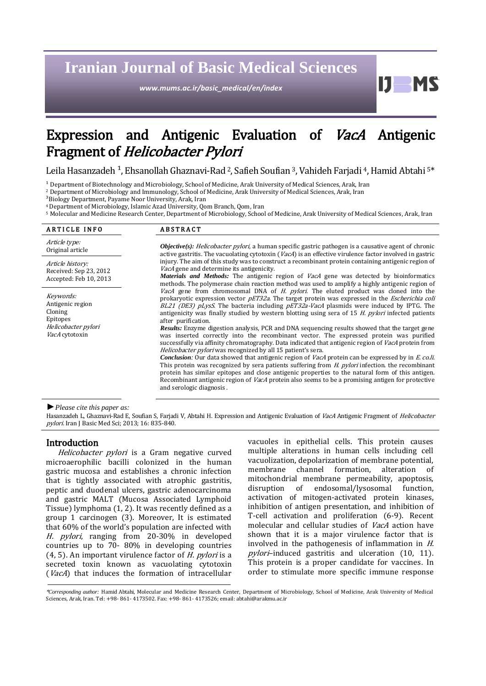# **Iranian Journal of Basic Medical Sciences**

*www.mums.ac.ir/basic\_medical/en/index*

H

# Expression and Antigenic Evaluation of VacA Antigenic Fragment of Helicobacter Pylori

Leila Hasanzadeh <sup>1</sup>, Ehsanollah Ghaznavi-Rad <sup>2</sup>, Safieh Soufian <sup>3</sup>, Vahideh Farjadi <sup>4</sup>, Hamid Abtahi <sup>5\*</sup>

<sup>1</sup> Department of Biotechnology and Microbiology, School of Medicine, Arak University of Medical Sciences, Arak, Iran

<sup>2</sup> Department of Microbiology and Immunology, School of Medicine, Arak University of Medical Sciences, Arak, Iran

<sup>3</sup>Biology Department, Payame Noor University, Arak, Iran

<sup>4</sup>Department of Microbiology, Islamic Azad University, Qom Branch, Qom, Iran

<sup>5</sup> Molecular and Medicine Research Center, Department of Microbiology, School of Medicine, Arak University of Medical Sciences, Arak, Iran

| <b>ARTICLE INFO</b>                                                                           | <b>ABSTRACT</b>                                                                                                                                                                                                                                                                                                                                                                                                                                                                                                                                                                                                                                                                                                                                                                                                                                                                                                                                                                                                                                                                                                                                                                                                                                                                                                                                                                                                                                                                                                                                                                                                                                                                                                                                                                                                                                                                                                          |
|-----------------------------------------------------------------------------------------------|--------------------------------------------------------------------------------------------------------------------------------------------------------------------------------------------------------------------------------------------------------------------------------------------------------------------------------------------------------------------------------------------------------------------------------------------------------------------------------------------------------------------------------------------------------------------------------------------------------------------------------------------------------------------------------------------------------------------------------------------------------------------------------------------------------------------------------------------------------------------------------------------------------------------------------------------------------------------------------------------------------------------------------------------------------------------------------------------------------------------------------------------------------------------------------------------------------------------------------------------------------------------------------------------------------------------------------------------------------------------------------------------------------------------------------------------------------------------------------------------------------------------------------------------------------------------------------------------------------------------------------------------------------------------------------------------------------------------------------------------------------------------------------------------------------------------------------------------------------------------------------------------------------------------------|
| Article type:<br>Original article                                                             | <b><i>Objective(s): Helicobacter pylori,</i></b> a human specific gastric pathogen is a causative agent of chronic<br>active gastritis. The vacuolating cytotoxin ( <i>VacA</i> ) is an effective virulence factor involved in gastric<br>injury. The aim of this study was to construct a recombinant protein containing antigenic region of<br>VacA gene and determine its antigenicity.<br><b>Materials and Methods:</b> The antigenic region of VacA gene was detected by bioinformatics<br>methods. The polymerase chain reaction method was used to amplify a highly antigenic region of<br>VacA gene from chromosomal DNA of <i>H. pylori</i> . The eluted product was cloned into the<br>prokaryotic expression vector pET32a. The target protein was expressed in the Escherichia coli<br><i>BL21 (DE3) pLysS</i> . The bacteria including <i>pET32a-VacA</i> plasmids were induced by IPTG. The<br>antigenicity was finally studied by western blotting using sera of 15 $H$ . <i>pylori</i> infected patients<br>after purification.<br><b>Results:</b> Enzyme digestion analysis, PCR and DNA sequencing results showed that the target gene<br>was inserted correctly into the recombinant vector. The expressed protein was purified<br>successfully via affinity chromatography. Data indicated that antigenic region of <i>VacA</i> protein from<br><i>Helicobacter pylori</i> was recognized by all 15 patient's sera.<br><i>Conclusion:</i> Our data showed that antigenic region of <i>VacA</i> protein can be expressed by in <i>E. co.li.</i><br>This protein was recognized by sera patients suffering from <i>H. pylori</i> infection, the recombinant<br>protein has similar epitopes and close antigenic properties to the natural form of this antigen.<br>Recombinant antigenic region of <i>VacA</i> protein also seems to be a promising antigen for protective<br>and serologic diagnosis. |
| Article history:<br>Received: Sep 23, 2012<br>Accepted: Feb 10, 2013                          |                                                                                                                                                                                                                                                                                                                                                                                                                                                                                                                                                                                                                                                                                                                                                                                                                                                                                                                                                                                                                                                                                                                                                                                                                                                                                                                                                                                                                                                                                                                                                                                                                                                                                                                                                                                                                                                                                                                          |
| Keywords:<br>Antigenic region<br>Cloning<br>Epitopes<br>Helicobacter pylori<br>VacA cytotoxin |                                                                                                                                                                                                                                                                                                                                                                                                                                                                                                                                                                                                                                                                                                                                                                                                                                                                                                                                                                                                                                                                                                                                                                                                                                                                                                                                                                                                                                                                                                                                                                                                                                                                                                                                                                                                                                                                                                                          |

*►Please cite this paper as:*

Hasanzadeh L, Ghaznavi-Rad E, Soufian S, Farjadi V, Abtahi H. Expression and Antigenic Evaluation of VacA Antigenic Fragment of Helicobacter pylori. Iran J Basic Med Sci; 2013; 16: 835-840.

## Introduction

Helicobacter pylori is a Gram negative curved microaerophilic bacilli colonized in the human gastric mucosa and establishes a chronic infection that is tightly associated with atrophic gastritis, peptic and duodenal ulcers, gastric adenocarcinoma and gastric MALT (Mucosa Associated Lymphoid Tissue) lymphoma (1, 2). It was recently defined as a group 1 carcinogen (3). Moreover, It is estimated that 60% of the world's population are infected with H. pylori, ranging from 20-30% in developed countries up to 70- 80% in developing countries  $(4, 5)$ . An important virulence factor of *H. pylori* is a secreted toxin known as vacuolating cytotoxin (VacA) that induces the formation of intracellular vacuoles in epithelial cells. This protein causes multiple alterations in human cells including cell vacuolization, depolarization of membrane potential, membrane channel formation, alteration of mitochondrial membrane permeability, apoptosis, disruption of endosomal/lysosomal function, activation of mitogen-activated protein kinases, inhibition of antigen presentation, and inhibition of T-cell activation and proliferation (6-9). Recent molecular and cellular studies of VacA action have shown that it is a major virulence factor that is involved in the pathogenesis of inflammation in H. pylori-induced gastritis and ulceration (10, 11). This protein is a proper candidate for vaccines. In order to stimulate more specific immune response

<sup>\*</sup>*Corresponding author:* Hamid Abtahi, Molecular and Medicine Research Center, Department of Microbiology, School of Medicine, Arak University of Medical Sciences, Arak, Iran. Tel: +98- 861- 4173502. Fax: +98- 861- 4173526; email[: abtahi@arakmu.ac.ir](mailto:abtahi@arakmu.ac.ir)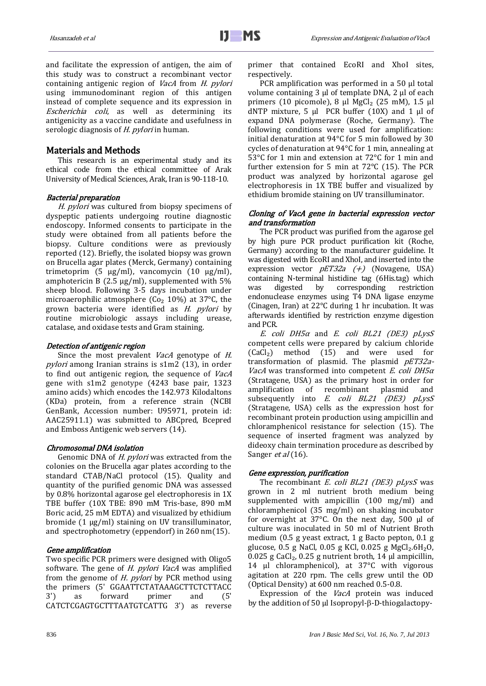and facilitate the expression of antigen, the aim of this study was to construct a recombinant vector containing antigenic region of VacA from H. pylori using immunodominant region of this antigen instead of complete sequence and its expression in Escherichia coli, as well as determining its antigenicity as a vaccine candidate and usefulness in serologic diagnosis of *H. pylori* in human.

## Materials and Methods

This research is an experimental study and its ethical code from the ethical committee of Arak University of Medical Sciences, Arak, Iran is 90-118-10.

## Bacterial preparation

H. pylori was cultured from biopsy specimens of dyspeptic patients undergoing routine diagnostic endoscopy. Informed consents to participate in the study were obtained from all patients before the biopsy. Culture conditions were as previously reported (12). Briefly, the isolated biopsy was grown on Brucella agar plates (Merck, Germany) containing trimetoprim (5 μg/ml), vancomycin (10 μg/ml), amphotericin B (2.5  $\mu$ g/ml), supplemented with 5% sheep blood. Following 3-5 days incubation under microaerophilic atmosphere  $(Co<sub>2</sub> 10%)$  at 37 $°C$ , the grown bacteria were identified as H. pylori by routine microbiologic assays including urease, catalase, and oxidase tests and Gram staining.

## Detection of antigenic region

Since the most prevalent *VacA* genotype of *H*. pylori among Iranian strains is s1m2 (13), in order to find out antigenic region, the sequence of VacA gene with s1m2 genotype (4243 base pair, 1323 amino acids) which encodes the 142.973 Kilodaltons (KDa) protein, from a reference strain (NCBI GenBank, Accession number: U95971, protein id: AAC25911.1) was submitted to ABCpred, Bcepred and Emboss Antigenic web servers (14).

#### Chromosomal DNA isolation

Genomic DNA of *H. pylori* was extracted from the colonies on the Brucella agar plates according to the standard CTAB/NaCl protocol (15). Quality and quantity of the purified genomic DNA was assessed by 0.8% horizontal agarose gel electrophoresis in 1X TBE buffer (10X TBE: 890 mM Tris-base, 890 mM Boric acid, 25 mM EDTA) and visualized by ethidium bromide (1 µg/ml) staining on UV transilluminator, and spectrophotometry (eppendorf) in 260 nm(15).

# Gene amplification

Two specific PCR primers were designed with Oligo5 software. The gene of *H. pylori VacA* was amplified from the genome of H. pylori by PCR method using the primers (5' GGAATTCTATAAAGCTTCTCTTACC 3') as forward primer and (5' CATCTCGAGTGCTTTAATGTCATTG 3') as reverse primer that contained EcoRI and XhoI sites, respectively.

PCR amplification was performed in a 50 μl total volume containing 3 μl of template DNA, 2 μl of each primers (10 picomole), 8 μl MgCl<sub>2</sub> (25 mM), 1.5 μl dNTP mixture, 5 μl PCR buffer (10X) and 1 μl of expand DNA polymerase (Roche, Germany). The following conditions were used for amplification: initial denaturation at 94°C for 5 min followed by 30 cycles of denaturation at 94°C for 1 min, annealing at 53°C for 1 min and extension at 72°C for 1 min and further extension for 5 min at 72°C (15). The PCR product was analyzed by horizontal agarose gel electrophoresis in 1X TBE buffer and visualized by ethidium bromide staining on UV transilluminator.

## Cloning of VacA gene in bacterial expression vector and transformation

The PCR product was purified from the agarose gel by high pure PCR product purification kit (Roche, Germany) according to the manufacturer guideline. It was digested with EcoRI and XhoI, and inserted into the expression vector  $pET32a$  (+) (Novagene, USA) containing N-terminal histidine tag (6His.tag) which was digested by corresponding restriction endonuclease enzymes using T4 DNA ligase enzyme (Cinagen, Iran) at 22°C during 1 hr incubation. It was afterwards identified by restriction enzyme digestion and PCR.

E. coli DH5α and E. coli BL21 (DE3) pLysS competent cells were prepared by calcium chloride (CaCl₂) method (15) and were used for transformation of plasmid. The plasmid pET32a-VacA was transformed into competent E. coli  $DH5\alpha$ (Stratagene, USA) as the primary host in order for amplification of recombinant plasmid and amplification of recombinant plasmid and subsequently into E. coli BL21 (DE3) pLysS (Stratagene, USA) cells as the expression host for recombinant protein production using ampicillin and chloramphenicol resistance for selection (15). The sequence of inserted fragment was analyzed by dideoxy chain termination procedure as described by Sanger  $et al(16)$ .

#### Gene expression, purification

The recombinant  $E$ . coli  $BL21$  (DE3)  $pLysS$  was grown in 2 ml nutrient broth medium being supplemented with ampicillin (100 mg/ml) and chloramphenicol (35 mg/ml) on shaking incubator for overnight at 37°C. On the next day, 500 μl of culture was inoculated in 50 ml of Nutrient Broth medium (0.5 g yeast extract, 1 g Bacto pepton, 0.1 g glucose, 0.5 g NaCl, 0.05 g KCl, 0.025 g MgCl₂.6H₂O, 0.025 g CaCl₂, 0.25 g nutrient broth, 14 μl ampicillin, 14 μl chloramphenicol), at 37°C with vigorous agitation at 220 rpm. The cells grew until the OD (Optical Density) at 600 nm reached 0.5-0.8.

Expression of the VacA protein was induced by the addition of 50  $\mu$ l Isopropyl- $\beta$ -D-thiogalactopy-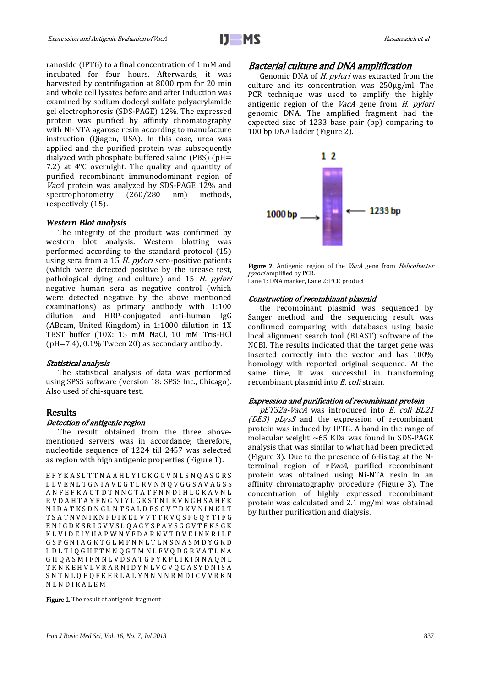ranoside (IPTG) to a final concentration of 1 mM and incubated for four hours. Afterwards, it was harvested by centrifugation at 8000 rpm for 20 min and whole cell lysates before and after induction was examined by sodium dodecyl sulfate polyacrylamide gel electrophoresis (SDS-PAGE) 12%. The expressed protein was purified by affinity chromatography with Ni-NTA agarose resin according to manufacture instruction (Qiagen, USA). In this case, urea was applied and the purified protein was subsequently dialyzed with phosphate buffered saline (PBS) ( $pH=$ 7.2) at 4°C overnight. The quality and quantity of purified recombinant immunodominant region of VacA protein was analyzed by SDS-PAGE 12% and spectrophotometry (260/280 nm) methods, respectively (15).

### *Western Blot analysis*

The integrity of the product was confirmed by western blot analysis. Western blotting was performed according to the standard protocol (15) using sera from a 15 H. pylori sero-positive patients (which were detected positive by the urease test, pathological dying and culture) and 15 H. pylori negative human sera as negative control (which were detected negative by the above mentioned examinations) as primary antibody with 1:100 dilution and HRP-conjugated anti-human IgG (ABcam, United Kingdom) in 1:1000 dilution in 1X TBST buffer (10X: 15 mM NaCl, 10 mM Tris-HCl ( $pH=7.4$ ),  $0.1\%$  Tween 20) as secondary antibody.

## Statistical analysis

The statistical analysis of data was performed using SPSS software (version 18: SPSS Inc., Chicago). Also used of chi-square test.

## Results

## Detection of antigenic region

The result obtained from the three abovementioned servers was in accordance; therefore, nucleotide sequence of 1224 till 2457 was selected as region with high antigenic properties (Figure 1).

[E](http://web.expasy.org/cgi-bin/translate/dna_sequences?/work/expasy/tmp/http/seqdna.31482,2,1) F Y K A S L T T N A A H L Y I G K G G V N L S N Q A S G R S L L V E N L T G N I A V E G T L R V N N Q V G G S A V A G S S A N F E F K A G T D T N N G T A T F N N D I H L G K A V N L R V D A H T A Y F N G N I Y L G K S T N L K V N G H S A H F K N I D A T K S D N G L N T S A L D F S G V T D K V N I N K L T T S A T N V N I K N F D I K E L V V T T R V Q S F G Q Y T I F G E N I G D K S R I G V V S L Q A G Y S P A Y S G G V T F K S G K K L V I D E I Y H A P W N Y F D A R N V T D V E I N K R I L F G S P G N I A G K T G L [M](http://web.expasy.org/cgi-bin/translate/dna_sequences?/work/expasy/tmp/http/seqdna.31482,2,262) F N N L T L N S N A [S M](http://web.expasy.org/cgi-bin/translate/dna_sequences?/work/expasy/tmp/http/seqdna.31482,2,274) D Y G K D L D L T I Q G H F T N N Q G [T M](http://web.expasy.org/cgi-bin/translate/dna_sequences?/work/expasy/tmp/http/seqdna.31482,2,295) N L F V Q D G R V A T L N A G H Q A S [M](http://web.expasy.org/cgi-bin/translate/dna_sequences?/work/expasy/tmp/http/seqdna.31482,2,315) I F N N L V D S A T G F Y K P L I K I N N A Q N L T K N K E H V L V R A R N I D Y N L V G V Q G A S Y D N I S A S N T N L Q E Q F K E R L A L Y N N N N [R M](http://web.expasy.org/cgi-bin/translate/dna_sequences?/work/expasy/tmp/http/seqdna.31482,2,393) D I C V V R K N N L N D I K A L E [M](http://web.expasy.org/cgi-bin/translate/dna_sequences?/work/expasy/tmp/http/seqdna.31482,2,411)

Figure 1. The result of antigenic fragment

# Bacterial culture and DNA amplification

Genomic DNA of H. pylori was extracted from the culture and its concentration was 250μg/ml. The PCR technique was used to amplify the highly antigenic region of the VacA gene from H. pylori genomic DNA. The amplified fragment had the expected size of 1233 base pair (bp) comparing to 100 bp DNA ladder (Figure 2).



Figure 2. Antigenic region of the VacA gene from Helicobacter pylori amplified by PCR.

Lane 1: DNA marker, Lane 2: PCR product

#### Construction of recombinant plasmid

the recombinant plasmid was sequenced by Sanger method and the sequencing result was confirmed comparing with databases using basic local alignment search tool (BLAST) software of the NCBI. The results indicated that the target gene was inserted correctly into the vector and has 100% homology with reported original sequence. At the same time, it was successful in transforming recombinant plasmid into E. coli strain.

# Expression and purification of recombinant protein

pET32a-VacA was introduced into E. coli BL21 ( $DE3$ )  $pLysS$  and the expression of recombinant protein was induced by IPTG. A band in the range of molecular weight ~65 KDa was found in SDS-PAGE analysis that was similar to what had been predicted (Figure 3). Due to the presence of 6His.tag at the Nterminal region of rVacA, purified recombinant protein was obtained using Ni-NTA resin in an affinity chromatography procedure (Figure 3). The concentration of highly expressed recombinant protein was calculated and 2.1 mg/ml was obtained by further purification and dialysis.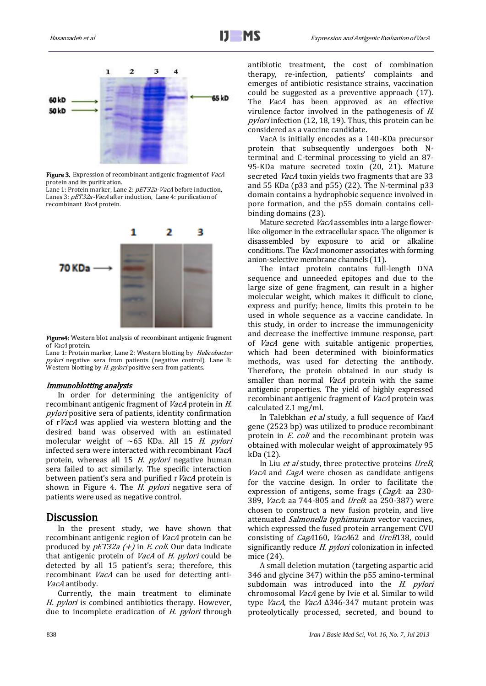

Figure 3. Expression of recombinant antigenic fragment of VacA protein and its purification.

Lane 1: Protein marker, Lane 2: pET32a-VacA before induction, Lanes 3: pET32a-VacA after induction, Lane 4: purification of recombinant VacA protein.



Figure4: Western blot analysis of recombinant antigenic fragment of VacA protein.

Lane 1: Protein marker, Lane 2: Western blotting by *Helicobacter* pylori negative sera from patients (negative control), Lane 3: Western blotting by *H. pylori* positive sera from patients.

## Immunoblotting analysis

In order for determining the antigenicity of recombinant antigenic fragment of *VacA* protein in *H*. pylori positive sera of patients, identity confirmation of r*VacA* was applied via western blotting and the desired band was observed with an estimated molecular weight of  $\sim$  65 KDa. All 15 H. pylori infected sera were interacted with recombinant VacA protein, whereas all 15 H. pylori negative human sera failed to act similarly. The specific interaction between patient's sera and purified r VacA protein is shown in Figure 4. The *H. pylori* negative sera of patients were used as negative control.

# **Discussion**

In the present study, we have shown that recombinant antigenic region of VacA protein can be produced by  $pET32a$  (+) in E. coli. Our data indicate that antigenic protein of *VacA* of *H. pylori* could be detected by all 15 patient's sera; therefore, this recombinant *VacA* can be used for detecting anti-VacA antibody.

Currently, the main treatment to eliminate H. pylori is combined antibiotics therapy. However, due to incomplete eradication of H. *pylori* through antibiotic treatment, the cost of combination therapy, re-infection, patients' complaints and emerges of antibiotic resistance strains, vaccination could be suggested as a preventive approach (17). The *VacA* has been approved as an effective virulence factor involved in the pathogenesis of H. pylori infection (12, 18, 19). Thus, this protein can be considered as a vaccine candidate.

VacA is initially encodes as a 140-KDa precursor protein that subsequently undergoes both Nterminal and C-terminal processing to yield an 87- 95-KDa mature secreted toxin (20, 21). Mature secreted *VacA* toxin yields two fragments that are 33 and 55 KDa (p33 and p55) (22). The N-terminal p33 domain contains a hydrophobic sequence involved in pore formation, and the p55 domain contains cellbinding domains (23).

Mature secreted VacA assembles into a large flowerlike oligomer in the extracellular space. The oligomer is disassembled by exposure to acid or alkaline conditions. The VacA monomer associates with forming anion-selective membrane channels (11).

The intact protein contains full-length DNA sequence and unneeded epitopes and due to the large size of gene fragment, can result in a higher molecular weight, which makes it difficult to clone, express and purify; hence, limits this protein to be used in whole sequence as a vaccine candidate. In this study, in order to increase the immunogenicity and decrease the ineffective immune response, part of VacA gene with suitable antigenic properties, which had been determined with bioinformatics methods, was used for detecting the antibody. Therefore, the protein obtained in our study is smaller than normal VacA protein with the same antigenic properties. The yield of highly expressed recombinant antigenic fragment of VacA protein was calculated 2.1 mg/ml.

In Talebkhan et al study, a full sequence of VacA gene (2523 bp) was utilized to produce recombinant protein in *E. coli* and the recombinant protein was obtained with molecular weight of approximately 95 kDa (12).

In Liu *et al* study, three protective proteins *UreB*, VacA and CagA were chosen as candidate antigens for the vaccine design. In order to facilitate the expression of antigens, some frags (CagA: aa 230-389, VacA: aa 744-805 and UreB: aa 250-387) were chosen to construct a new fusion protein, and live attenuated Salmonella typhimurium vector vaccines, which expressed the fused protein arrangement CVU consisting of CagA160, VacA62 and UreB138, could significantly reduce H. pylori colonization in infected mice (24).

A small deletion mutation (targeting aspartic acid 346 and glycine 347) within the p55 amino-terminal subdomain was introduced into the H. pylori chromosomal VacA gene by Ivie et al. Similar to wild type VacA, the VacA ∆346-347 mutant protein was proteolytically processed, secreted, and bound to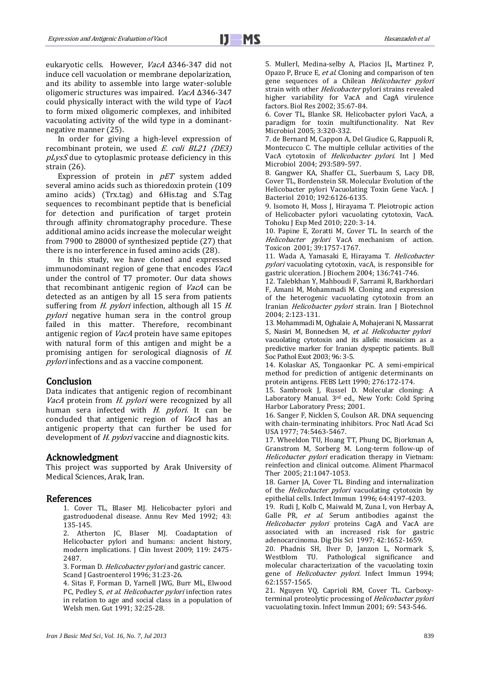eukaryotic cells. However, VacA ∆346-347 did not induce cell vacuolation or membrane depolarization, and its ability to assemble into large water-soluble oligomeric structures was impaired. VacA ∆346-347 could physically interact with the wild type of VacA to form mixed oligomeric complexes, and inhibited vacuolating activity of the wild type in a dominantnegative manner (25).

In order for giving a high-level expression of recombinant protein, we used E. coli BL21 (DE3)  $pLysS$  due to cytoplasmic protease deficiency in this strain (26).

Expression of protein in  $pET$  system added several [amino acids](http://www.scialert.net/asci/result.php?searchin=Keywords&cat=&ascicat=ALL&Submit=Search&keyword=amino+acid) such as thioredoxin protein (109 amino acids) (Trx.tag) and 6His.tag and S.Tag sequences to recombinant peptide that is beneficial for detection and purification of target protein through affinity chromatography procedure. These additional [amino acids](http://www.scialert.net/asci/result.php?searchin=Keywords&cat=&ascicat=ALL&Submit=Search&keyword=amino+acid) increase the molecular weight from 7900 to 28000 of synthesized peptide (27) that there is no interference in fused [amino acids](http://www.scialert.net/asci/result.php?searchin=Keywords&cat=&ascicat=ALL&Submit=Search&keyword=amino+acid) (28).

In this study, we have cloned and expressed immunodominant region of gene that encodes *VacA* under the control of T7 promoter. Our data shows that recombinant antigenic region of VacA can be detected as an antigen by all 15 sera from patients suffering from *H. pylori* infection, although all 15 H. pylori negative human sera in the control group failed in this matter. Therefore, recombinant antigenic region of VacA protein have same epitopes with natural form of this antigen and might be a promising antigen for serological diagnosis of H. pylori infections and as a vaccine component.

# Conclusion

Data indicates that antigenic region of recombinant VacA protein from H. pylori were recognized by all human sera infected with H. pylori. It can be concluded that antigenic region of VacA has an antigenic property that can further be used for development of *H. pylori* vaccine and diagnostic kits.

# Acknowledgment

This project was supported by Arak University of Medical Sciences, Arak, Iran.

## References

1. Cover TL, Blaser MJ. Helicobacter pylori and gastroduodenal disease. Annu Rev Med 1992; 43: 135-145.

2. Atherton JC, Blaser MJ. Coadaptation of Helicobacter pylori and humans: ancient history, modern implications. J Clin Invest 2009; 119: 2475- 2487.

3. Forman D. Helicobacter pylori and gastric cancer. Scand J Gastroenterol 1996; 31:23-26.

4. Sitas F, Forman D, Yarnell JWG, Burr ML, Elwood PC, Pedley S, et al. Helicobacter pylori infection rates in relation to age and social class in a population of Welsh men. Gut 1991; 32:25-28.

5. MullerI, Medina-selby A, Placios JL, Martinez P, Opazo P, Bruce E, et al. Cloning and comparison of ten gene sequences of a Chilean Helicobacter pylori strain with other *Helicobacter* pylori strains revealed higher variability for VacA and CagA virulence factors. Biol Res 2002; 35:67-84.

6. Cover TL, Blanke SR. Helicobacter pylori VacA, a paradigm for toxin multifunctionality. Nat Rev Microbiol 2005; 3:320-332.

7. de Bernard M, Cappon A, Del Giudice G, Rappuoli R, Montecucco C. The multiple cellular activities of the VacA cytotoxin of Helicobacter pylori. Int J Med Microbiol 2004; 293:589-597.

8. Gangwer KA, Shaffer CL, Suerbaum S, Lacy DB, Cover TL, Bordenstein SR. Molecular Evolution of the Helicobacter pylori Vacuolating Toxin Gene VacA. J Bacteriol 2010; 192:6126-6135.

9. Isomoto H, Moss J, Hirayama T. Pleiotropic action of Helicobacter pylori vacuolating cytotoxin, VacA. Tohoku J Exp Med 2010; 220: 3-14.

10. Papine E, Zoratti M, Cover TL. In search of the Helicobacter pylori VacA mechanism of action. Toxicon 2001; 39:1757-1767.

11. Wada A, Yamasaki E, Hirayama T. Helicobacter pylori vacuolating cytotoxin, vacA, is responsible for gastric ulceration. J Biochem 2004; 136:741-746.

12. Talebkhan Y, Mahboudi F, Sarrami R, Barkhordari F, Amani M, Mohammadi M. Cloning and expression of the heterogenic vacuolating cytotoxin from an Iranian Helicobacter pylori strain. Iran J Biotechnol 2004; 2:123-131.

13. Mohammadi M, Oghalaie A, Mohajerani N, Massarrat S, Nasiri M, Bonnedsen M, et al. Helicobacter pylori vacuolating cytotoxin and its allelic mosaicism as a predictive marker for Iranian dyspeptic patients. Bull Soc Pathol Exot 2003; 96: 3-5.

14. [Kolaskar AS, Tongaonkar PC. A semi-empirical](http://www.ncbi.nlm.nih.gov/entrez/query.fcgi?cmd=Retrieve&db=pubmed&dopt=Abstract&list_uids=1702393)  [method for prediction of antigenic determinants on](http://www.ncbi.nlm.nih.gov/entrez/query.fcgi?cmd=Retrieve&db=pubmed&dopt=Abstract&list_uids=1702393)  [protein antigens. FEBS Lett 1990; 276:172-174.](http://www.ncbi.nlm.nih.gov/entrez/query.fcgi?cmd=Retrieve&db=pubmed&dopt=Abstract&list_uids=1702393)

15. Sambrook J, Russel D. Molecular cloning: A Laboratory Manual. 3rd ed., New York: Cold Spring Harbor Laboratory Press; 2001.

16. Sanger F, Nicklen S, Coulson AR. DNA sequencing with chain-terminating inhibitors. Proc Natl Acad Sci USA 1977; 74:5463-5467.

17. Wheeldon TU, Hoang TT, Phung DC, Bjorkman A, Granstrom M, Sorberg M. Long-term follow-up of Helicobacter pylori eradication therapy in Vietnam: reinfection and clinical outcome. Aliment Pharmacol Ther 2005; 21:1047-1053.

18. Garner JA, Cover TL. Binding and internalization of the *Helicobacter pylori* vacuolating cytotoxin by epithelial cells. Infect Immun 1996; 64:4197-4203.

19. [Rudi J,](http://www.ncbi.nlm.nih.gov/pubmed?term=Rudi%20J%5BAuthor%5D&cauthor=true&cauthor_uid=9286230) [Kolb C,](http://www.ncbi.nlm.nih.gov/pubmed?term=Kolb%20C%5BAuthor%5D&cauthor=true&cauthor_uid=9286230) [Maiwald M,](http://www.ncbi.nlm.nih.gov/pubmed?term=Maiwald%20M%5BAuthor%5D&cauthor=true&cauthor_uid=9286230) [Zuna I,](http://www.ncbi.nlm.nih.gov/pubmed?term=Zuna%20I%5BAuthor%5D&cauthor=true&cauthor_uid=9286230) [von Herbay A,](http://www.ncbi.nlm.nih.gov/pubmed?term=von%20Herbay%20A%5BAuthor%5D&cauthor=true&cauthor_uid=9286230)  [Galle PR](http://www.ncbi.nlm.nih.gov/pubmed?term=Galle%20PR%5BAuthor%5D&cauthor=true&cauthor_uid=9286230), et al. Serum antibodies against the Helicobacter pylori proteins CagA and VacA are associated with an increased risk for gastric adenocarcinoma. Dig Dis Sci 1997; 42:1652-1659.

20. Phadnis SH, Ilver D, Janzon L, Normark S, Westblom TU. Pathological significance and molecular characterization of the vacuolating toxin gene of *Helicobacter pylori*. Infect Immun 1994; 62:1557-1565.

21. Nguyen VQ, Caprioli RM, Cover TL. Carboxyterminal proteolytic processing of Helicobacter pylori vacuolating toxin. Infect Immun 2001; 69: 543-546.